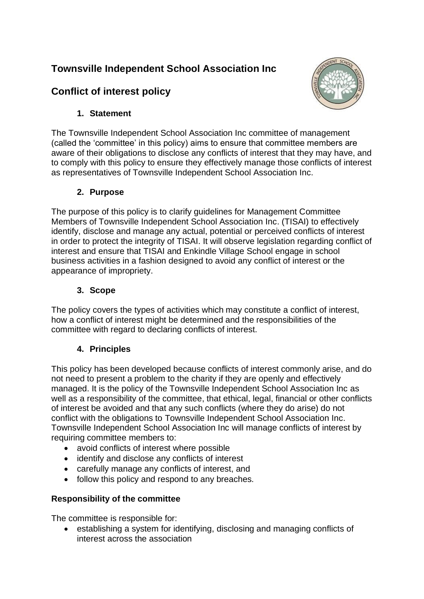## **Townsville Independent School Association Inc**





## **1. Statement**

The Townsville Independent School Association Inc committee of management (called the 'committee' in this policy) aims to ensure that committee members are aware of their obligations to disclose any conflicts of interest that they may have, and to comply with this policy to ensure they effectively manage those conflicts of interest as representatives of Townsville Independent School Association Inc.

## **2. Purpose**

The purpose of this policy is to clarify guidelines for Management Committee Members of Townsville Independent School Association Inc. (TISAI) to effectively identify, disclose and manage any actual, potential or perceived conflicts of interest in order to protect the integrity of TISAI. It will observe legislation regarding conflict of interest and ensure that TISAI and Enkindle Village School engage in school business activities in a fashion designed to avoid any conflict of interest or the appearance of impropriety.

## **3. Scope**

The policy covers the types of activities which may constitute a conflict of interest, how a conflict of interest might be determined and the responsibilities of the committee with regard to declaring conflicts of interest.

## **4. Principles**

This policy has been developed because conflicts of interest commonly arise, and do not need to present a problem to the charity if they are openly and effectively managed. It is the policy of the Townsville Independent School Association Inc as well as a responsibility of the committee, that ethical, legal, financial or other conflicts of interest be avoided and that any such conflicts (where they do arise) do not conflict with the obligations to Townsville Independent School Association Inc. Townsville Independent School Association Inc will manage conflicts of interest by requiring committee members to:

- avoid conflicts of interest where possible
- identify and disclose any conflicts of interest
- carefully manage any conflicts of interest, and
- follow this policy and respond to any breaches.

## **Responsibility of the committee**

The committee is responsible for:

• establishing a system for identifying, disclosing and managing conflicts of interest across the association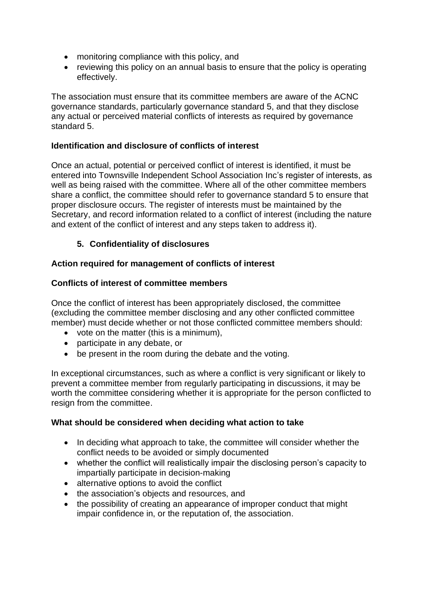- monitoring compliance with this policy, and
- reviewing this policy on an annual basis to ensure that the policy is operating effectively.

The association must ensure that its committee members are aware of the ACNC governance standards, particularly governance standard 5, and that they disclose any actual or perceived material conflicts of interests as required by governance standard 5.

#### **Identification and disclosure of conflicts of interest**

Once an actual, potential or perceived conflict of interest is identified, it must be entered into Townsville Independent School Association Inc's register of interests, as well as being raised with the committee. Where all of the other committee members share a conflict, the committee should refer to governance standard 5 to ensure that proper disclosure occurs. The register of interests must be maintained by the Secretary, and record information related to a conflict of interest (including the nature and extent of the conflict of interest and any steps taken to address it).

### **5. Confidentiality of disclosures**

#### **Action required for management of conflicts of interest**

#### **Conflicts of interest of committee members**

Once the conflict of interest has been appropriately disclosed, the committee (excluding the committee member disclosing and any other conflicted committee member) must decide whether or not those conflicted committee members should:

- vote on the matter (this is a minimum),
- participate in any debate, or
- be present in the room during the debate and the voting.

In exceptional circumstances, such as where a conflict is very significant or likely to prevent a committee member from regularly participating in discussions, it may be worth the committee considering whether it is appropriate for the person conflicted to resign from the committee.

#### **What should be considered when deciding what action to take**

- In deciding what approach to take, the committee will consider whether the conflict needs to be avoided or simply documented
- whether the conflict will realistically impair the disclosing person's capacity to impartially participate in decision-making
- alternative options to avoid the conflict
- the association's objects and resources, and
- the possibility of creating an appearance of improper conduct that might impair confidence in, or the reputation of, the association.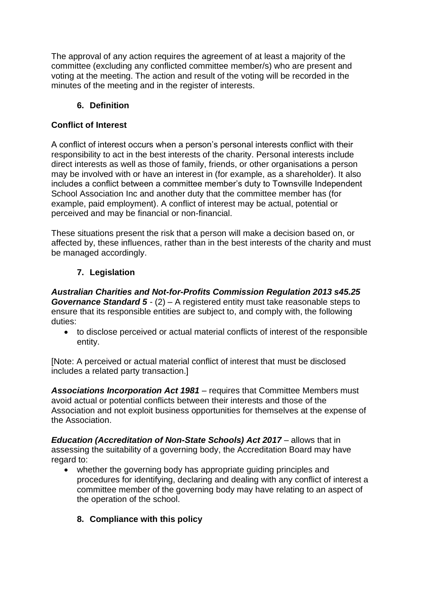The approval of any action requires the agreement of at least a majority of the committee (excluding any conflicted committee member/s) who are present and voting at the meeting. The action and result of the voting will be recorded in the minutes of the meeting and in the register of interests.

## **6. Definition**

### **Conflict of Interest**

A conflict of interest occurs when a person's personal interests conflict with their responsibility to act in the best interests of the charity. Personal interests include direct interests as well as those of family, friends, or other organisations a person may be involved with or have an interest in (for example, as a shareholder). It also includes a conflict between a committee member's duty to Townsville Independent School Association Inc and another duty that the committee member has (for example, paid employment). A conflict of interest may be actual, potential or perceived and may be financial or non-financial.

These situations present the risk that a person will make a decision based on, or affected by, these influences, rather than in the best interests of the charity and must be managed accordingly.

## **7. Legislation**

*Australian Charities and Not-for-Profits Commission Regulation 2013 s45.25 Governance Standard 5* - (2) – A registered entity must take reasonable steps to ensure that its responsible entities are subject to, and comply with, the following duties:

• to disclose perceived or actual material conflicts of interest of the responsible entity.

[Note: A perceived or actual material conflict of interest that must be disclosed includes a related party transaction.]

*Associations Incorporation Act 1981 –* requires that Committee Members must avoid actual or potential conflicts between their interests and those of the Association and not exploit business opportunities for themselves at the expense of the Association.

*Education (Accreditation of Non-State Schools) Act 2017* – allows that in assessing the suitability of a governing body, the Accreditation Board may have regard to:

- whether the governing body has appropriate guiding principles and procedures for identifying, declaring and dealing with any conflict of interest a committee member of the governing body may have relating to an aspect of the operation of the school.
	- **8. Compliance with this policy**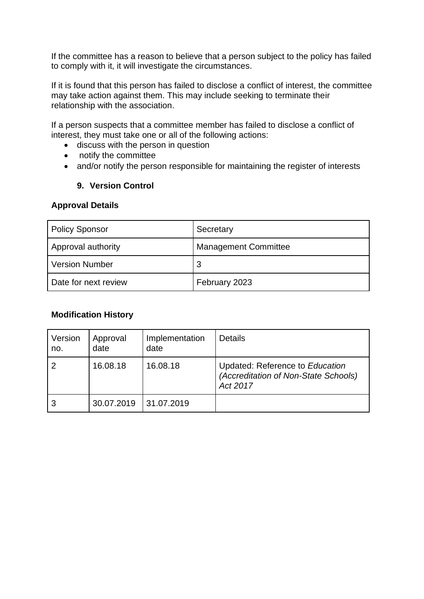If the committee has a reason to believe that a person subject to the policy has failed to comply with it, it will investigate the circumstances.

If it is found that this person has failed to disclose a conflict of interest, the committee may take action against them. This may include seeking to terminate their relationship with the association.

If a person suspects that a committee member has failed to disclose a conflict of interest, they must take one or all of the following actions:

- discuss with the person in question
- notify the committee
- and/or notify the person responsible for maintaining the register of interests

#### **9. Version Control**

#### **Approval Details**

| <b>Policy Sponsor</b> | Secretary                   |  |
|-----------------------|-----------------------------|--|
| Approval authority    | <b>Management Committee</b> |  |
| <b>Version Number</b> | 3                           |  |
| Date for next review  | February 2023               |  |

#### **Modification History**

| Version<br>no. | Approval<br>date | Implementation<br>date | Details                                                                             |
|----------------|------------------|------------------------|-------------------------------------------------------------------------------------|
| 2              | 16.08.18         | 16.08.18               | Updated: Reference to Education<br>(Accreditation of Non-State Schools)<br>Act 2017 |
|                | 30.07.2019       | 31.07.2019             |                                                                                     |